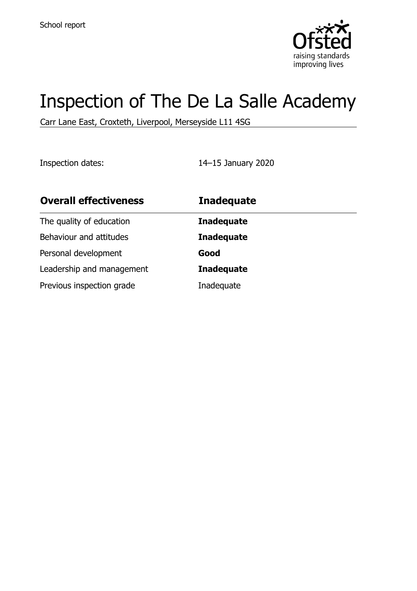

# Inspection of The De La Salle Academy

Carr Lane East, Croxteth, Liverpool, Merseyside L11 4SG

Inspection dates: 14–15 January 2020

| <b>Overall effectiveness</b> | <b>Inadequate</b> |
|------------------------------|-------------------|
| The quality of education     | <b>Inadequate</b> |
| Behaviour and attitudes      | <b>Inadequate</b> |
| Personal development         | Good              |
| Leadership and management    | <b>Inadequate</b> |
| Previous inspection grade    | Inadequate        |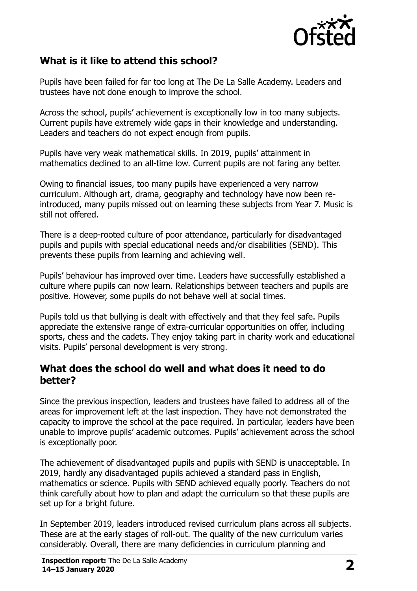

# **What is it like to attend this school?**

Pupils have been failed for far too long at The De La Salle Academy. Leaders and trustees have not done enough to improve the school.

Across the school, pupils' achievement is exceptionally low in too many subjects. Current pupils have extremely wide gaps in their knowledge and understanding. Leaders and teachers do not expect enough from pupils.

Pupils have very weak mathematical skills. In 2019, pupils' attainment in mathematics declined to an all-time low. Current pupils are not faring any better.

Owing to financial issues, too many pupils have experienced a very narrow curriculum. Although art, drama, geography and technology have now been reintroduced, many pupils missed out on learning these subjects from Year 7. Music is still not offered.

There is a deep-rooted culture of poor attendance, particularly for disadvantaged pupils and pupils with special educational needs and/or disabilities (SEND). This prevents these pupils from learning and achieving well.

Pupils' behaviour has improved over time. Leaders have successfully established a culture where pupils can now learn. Relationships between teachers and pupils are positive. However, some pupils do not behave well at social times.

Pupils told us that bullying is dealt with effectively and that they feel safe. Pupils appreciate the extensive range of extra-curricular opportunities on offer, including sports, chess and the cadets. They enjoy taking part in charity work and educational visits. Pupils' personal development is very strong.

#### **What does the school do well and what does it need to do better?**

Since the previous inspection, leaders and trustees have failed to address all of the areas for improvement left at the last inspection. They have not demonstrated the capacity to improve the school at the pace required. In particular, leaders have been unable to improve pupils' academic outcomes. Pupils' achievement across the school is exceptionally poor.

The achievement of disadvantaged pupils and pupils with SEND is unacceptable. In 2019, hardly any disadvantaged pupils achieved a standard pass in English, mathematics or science. Pupils with SEND achieved equally poorly. Teachers do not think carefully about how to plan and adapt the curriculum so that these pupils are set up for a bright future.

In September 2019, leaders introduced revised curriculum plans across all subjects. These are at the early stages of roll-out. The quality of the new curriculum varies considerably. Overall, there are many deficiencies in curriculum planning and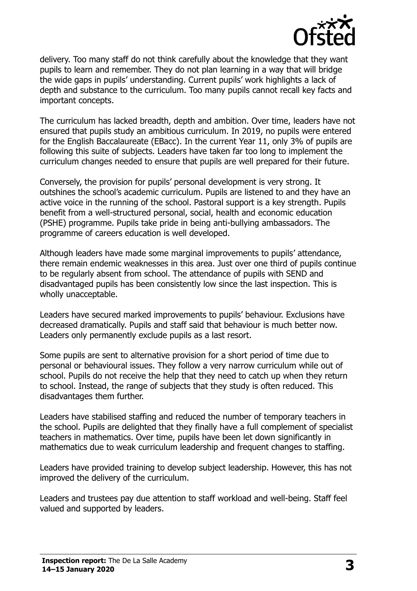

delivery. Too many staff do not think carefully about the knowledge that they want pupils to learn and remember. They do not plan learning in a way that will bridge the wide gaps in pupils' understanding. Current pupils' work highlights a lack of depth and substance to the curriculum. Too many pupils cannot recall key facts and important concepts.

The curriculum has lacked breadth, depth and ambition. Over time, leaders have not ensured that pupils study an ambitious curriculum. In 2019, no pupils were entered for the English Baccalaureate (EBacc). In the current Year 11, only 3% of pupils are following this suite of subjects. Leaders have taken far too long to implement the curriculum changes needed to ensure that pupils are well prepared for their future.

Conversely, the provision for pupils' personal development is very strong. It outshines the school's academic curriculum. Pupils are listened to and they have an active voice in the running of the school. Pastoral support is a key strength. Pupils benefit from a well-structured personal, social, health and economic education (PSHE) programme. Pupils take pride in being anti-bullying ambassadors. The programme of careers education is well developed.

Although leaders have made some marginal improvements to pupils' attendance, there remain endemic weaknesses in this area. Just over one third of pupils continue to be regularly absent from school. The attendance of pupils with SEND and disadvantaged pupils has been consistently low since the last inspection. This is wholly unacceptable.

Leaders have secured marked improvements to pupils' behaviour. Exclusions have decreased dramatically. Pupils and staff said that behaviour is much better now. Leaders only permanently exclude pupils as a last resort.

Some pupils are sent to alternative provision for a short period of time due to personal or behavioural issues. They follow a very narrow curriculum while out of school. Pupils do not receive the help that they need to catch up when they return to school. Instead, the range of subjects that they study is often reduced. This disadvantages them further.

Leaders have stabilised staffing and reduced the number of temporary teachers in the school. Pupils are delighted that they finally have a full complement of specialist teachers in mathematics. Over time, pupils have been let down significantly in mathematics due to weak curriculum leadership and frequent changes to staffing.

Leaders have provided training to develop subject leadership. However, this has not improved the delivery of the curriculum.

Leaders and trustees pay due attention to staff workload and well-being. Staff feel valued and supported by leaders.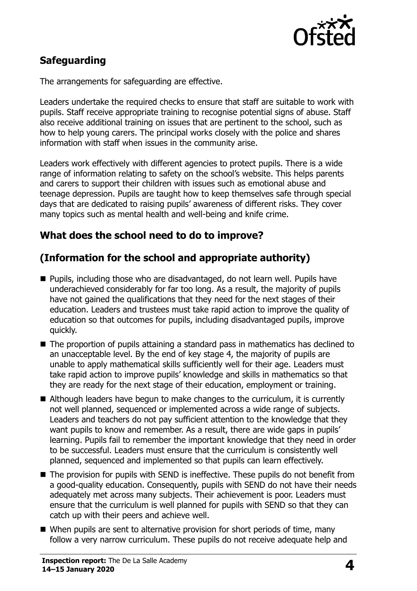

# **Safeguarding**

The arrangements for safeguarding are effective.

Leaders undertake the required checks to ensure that staff are suitable to work with pupils. Staff receive appropriate training to recognise potential signs of abuse. Staff also receive additional training on issues that are pertinent to the school, such as how to help young carers. The principal works closely with the police and shares information with staff when issues in the community arise.

Leaders work effectively with different agencies to protect pupils. There is a wide range of information relating to safety on the school's website. This helps parents and carers to support their children with issues such as emotional abuse and teenage depression. Pupils are taught how to keep themselves safe through special days that are dedicated to raising pupils' awareness of different risks. They cover many topics such as mental health and well-being and knife crime.

### **What does the school need to do to improve?**

# **(Information for the school and appropriate authority)**

- Pupils, including those who are disadvantaged, do not learn well. Pupils have underachieved considerably for far too long. As a result, the majority of pupils have not gained the qualifications that they need for the next stages of their education. Leaders and trustees must take rapid action to improve the quality of education so that outcomes for pupils, including disadvantaged pupils, improve quickly.
- The proportion of pupils attaining a standard pass in mathematics has declined to an unacceptable level. By the end of key stage 4, the majority of pupils are unable to apply mathematical skills sufficiently well for their age. Leaders must take rapid action to improve pupils' knowledge and skills in mathematics so that they are ready for the next stage of their education, employment or training.
- Although leaders have begun to make changes to the curriculum, it is currently not well planned, sequenced or implemented across a wide range of subjects. Leaders and teachers do not pay sufficient attention to the knowledge that they want pupils to know and remember. As a result, there are wide gaps in pupils' learning. Pupils fail to remember the important knowledge that they need in order to be successful. Leaders must ensure that the curriculum is consistently well planned, sequenced and implemented so that pupils can learn effectively.
- The provision for pupils with SEND is ineffective. These pupils do not benefit from a good-quality education. Consequently, pupils with SEND do not have their needs adequately met across many subjects. Their achievement is poor. Leaders must ensure that the curriculum is well planned for pupils with SEND so that they can catch up with their peers and achieve well.
- When pupils are sent to alternative provision for short periods of time, many follow a very narrow curriculum. These pupils do not receive adequate help and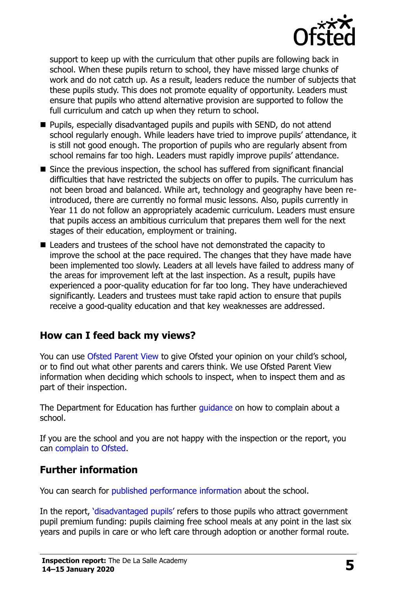

support to keep up with the curriculum that other pupils are following back in school. When these pupils return to school, they have missed large chunks of work and do not catch up. As a result, leaders reduce the number of subjects that these pupils study. This does not promote equality of opportunity. Leaders must ensure that pupils who attend alternative provision are supported to follow the full curriculum and catch up when they return to school.

- **Pupils, especially disadvantaged pupils and pupils with SEND, do not attend** school regularly enough. While leaders have tried to improve pupils' attendance, it is still not good enough. The proportion of pupils who are regularly absent from school remains far too high. Leaders must rapidly improve pupils' attendance.
- Since the previous inspection, the school has suffered from significant financial difficulties that have restricted the subjects on offer to pupils. The curriculum has not been broad and balanced. While art, technology and geography have been reintroduced, there are currently no formal music lessons. Also, pupils currently in Year 11 do not follow an appropriately academic curriculum. Leaders must ensure that pupils access an ambitious curriculum that prepares them well for the next stages of their education, employment or training.
- Leaders and trustees of the school have not demonstrated the capacity to improve the school at the pace required. The changes that they have made have been implemented too slowly. Leaders at all levels have failed to address many of the areas for improvement left at the last inspection. As a result, pupils have experienced a poor-quality education for far too long. They have underachieved significantly. Leaders and trustees must take rapid action to ensure that pupils receive a good-quality education and that key weaknesses are addressed.

#### **How can I feed back my views?**

You can use [Ofsted Parent View](http://parentview.ofsted.gov.uk/) to give Ofsted your opinion on your child's school, or to find out what other parents and carers think. We use Ofsted Parent View information when deciding which schools to inspect, when to inspect them and as part of their inspection.

The Department for Education has further quidance on how to complain about a school.

If you are the school and you are not happy with the inspection or the report, you can [complain to Ofsted.](http://www.gov.uk/complain-ofsted-report)

#### **Further information**

You can search for [published performance information](http://www.compare-school-performance.service.gov.uk/) about the school.

In the report, '[disadvantaged pupils](http://www.gov.uk/guidance/pupil-premium-information-for-schools-and-alternative-provision-settings)' refers to those pupils who attract government pupil premium funding: pupils claiming free school meals at any point in the last six years and pupils in care or who left care through adoption or another formal route.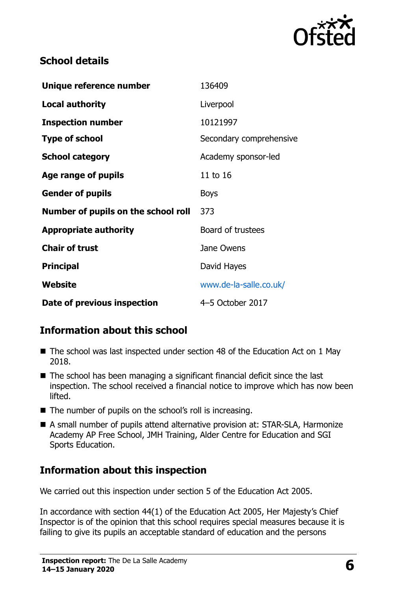

# **School details**

| Unique reference number             | 136409                   |
|-------------------------------------|--------------------------|
| <b>Local authority</b>              | Liverpool                |
| <b>Inspection number</b>            | 10121997                 |
| <b>Type of school</b>               | Secondary comprehensive  |
| <b>School category</b>              | Academy sponsor-led      |
| <b>Age range of pupils</b>          | 11 to 16                 |
| <b>Gender of pupils</b>             | <b>Boys</b>              |
| Number of pupils on the school roll | 373                      |
| <b>Appropriate authority</b>        | <b>Board of trustees</b> |
| <b>Chair of trust</b>               | Jane Owens               |
| <b>Principal</b>                    | David Hayes              |
| Website                             | www.de-la-salle.co.uk/   |
| Date of previous inspection         | 4-5 October 2017         |

# **Information about this school**

- The school was last inspected under section 48 of the Education Act on 1 May 2018.
- The school has been managing a significant financial deficit since the last inspection. The school received a financial notice to improve which has now been lifted.
- The number of pupils on the school's roll is increasing.
- A small number of pupils attend alternative provision at: STAR-SLA, Harmonize Academy AP Free School, JMH Training, Alder Centre for Education and SGI Sports Education.

# **Information about this inspection**

We carried out this inspection under section 5 of the Education Act 2005.

In accordance with section 44(1) of the Education Act 2005, Her Majesty's Chief Inspector is of the opinion that this school requires special measures because it is failing to give its pupils an acceptable standard of education and the persons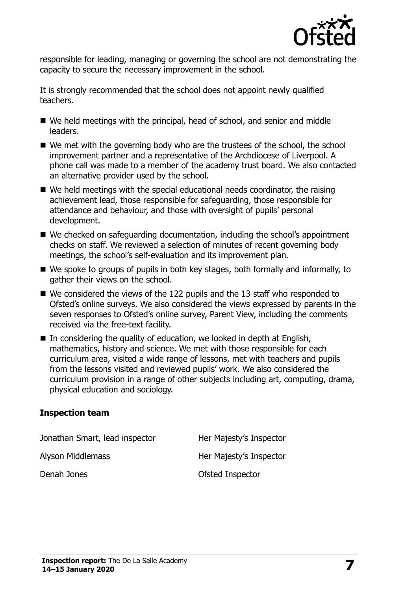

responsible for leading, managing or governing the school are not demonstrating the capacity to secure the necessary improvement in the school.

It is strongly recommended that the school does not appoint newly qualified teachers.

- We held meetings with the principal, head of school, and senior and middle leaders.
- We met with the governing body who are the trustees of the school, the school improvement partner and a representative of the Archdiocese of Liverpool. A phone call was made to a member of the academy trust board. We also contacted an alternative provider used by the school.
- We held meetings with the special educational needs coordinator, the raising achievement lead, those responsible for safeguarding, those responsible for attendance and behaviour, and those with oversight of pupils' personal development.
- We checked on safequarding documentation, including the school's appointment checks on staff. We reviewed a selection of minutes of recent governing body meetings, the school's self-evaluation and its improvement plan.
- We spoke to groups of pupils in both key stages, both formally and informally, to gather their views on the school.
- We considered the views of the 122 pupils and the 13 staff who responded to Ofsted's online surveys. We also considered the views expressed by parents in the seven responses to Ofsted's online survey, Parent View, including the comments received via the free-text facility.
- $\blacksquare$  In considering the quality of education, we looked in depth at English, mathematics, history and science. We met with those responsible for each curriculum area, visited a wide range of lessons, met with teachers and pupils from the lessons visited and reviewed pupils' work. We also considered the curriculum provision in a range of other subjects including art, computing, drama, physical education and sociology.

#### **Inspection team**

| Jonathan Smart, lead inspector | Her Majesty's Inspector |
|--------------------------------|-------------------------|
| Alyson Middlemass              | Her Majesty's Inspector |
| Denah Jones                    | Ofsted Inspector        |